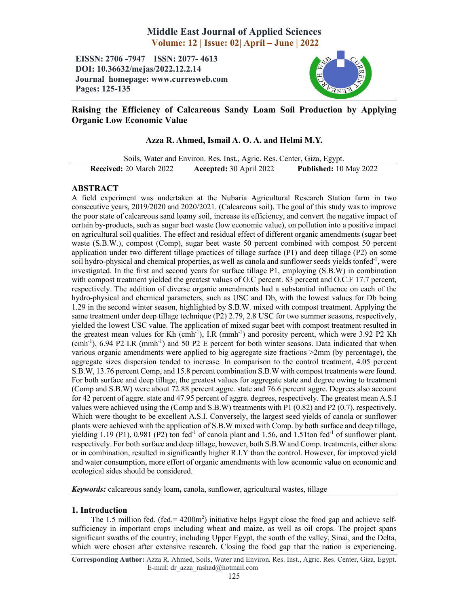# Middle East Journal of Applied Sciences Volume: 12 | Issue: 02| April – June | 2022

EISSN: 2706 -7947 ISSN: 2077- 4613 DOI: 10.36632/mejas/2022.12.2.14 Journal homepage: www.curresweb.com Pages: 125-135



## Raising the Efficiency of Calcareous Sandy Loam Soil Production by Applying Organic Low Economic Value

## Azza R. Ahmed, Ismail A. O. A. and Helmi M.Y.

Soils, Water and Environ. Res. Inst., Agric. Res. Center, Giza, Egypt. Received: 20 March 2022 Accepted: 30 April 2022 Published: 10 May 2022

## ABSTRACT

A field experiment was undertaken at the Nubaria Agricultural Research Station farm in two consecutive years, 2019/2020 and 2020/2021. (Calcareous soil). The goal of this study was to improve the poor state of calcareous sand loamy soil, increase its efficiency, and convert the negative impact of certain by-products, such as sugar beet waste (low economic value), on pollution into a positive impact on agricultural soil qualities. The effect and residual effect of different organic amendments (sugar beet waste (S.B.W.), compost (Comp), sugar beet waste 50 percent combined with compost 50 percent application under two different tillage practices of tillage surface (P1) and deep tillage (P2) on some soil hydro-physical and chemical properties, as well as canola and sunflower seeds yields tonfed<sup>-1</sup>, were investigated. In the first and second years for surface tillage P1, employing (S.B.W) in combination with compost treatment yielded the greatest values of O.C percent. 83 percent and O.C.F 17.7 percent, respectively. The addition of diverse organic amendments had a substantial influence on each of the hydro-physical and chemical parameters, such as USC and Db, with the lowest values for Db being 1.29 in the second winter season, highlighted by S.B.W. mixed with compost treatment. Applying the same treatment under deep tillage technique (P2) 2.79, 2.8 USC for two summer seasons, respectively, yielded the lowest USC value. The application of mixed sugar beet with compost treatment resulted in the greatest mean values for Kh  $(cmh^{-1})$ , I.R  $(mmh^{-1})$  and porosity percent, which were 3.92 P2 Kh (cmh<sup>-1</sup>), 6.94 P2 I.R (mmh<sup>-1</sup>) and 50 P2 E percent for both winter seasons. Data indicated that when various organic amendments were applied to big aggregate size fractions >2mm (by percentage), the aggregate sizes dispersion tended to increase. In comparison to the control treatment, 4.05 percent S.B.W, 13.76 percent Comp, and 15.8 percent combination S.B.W with compost treatments were found. For both surface and deep tillage, the greatest values for aggregate state and degree owing to treatment (Comp and S.B.W) were about 72.88 percent aggre. state and 76.6 percent aggre. Degrees also account for 42 percent of aggre. state and 47.95 percent of aggre. degrees, respectively. The greatest mean A.S.I values were achieved using the (Comp and S.B.W) treatments with P1 (0.82) and P2 (0.7), respectively. Which were thought to be excellent A.S.I. Conversely, the largest seed yields of canola or sunflower plants were achieved with the application of S.B.W mixed with Comp. by both surface and deep tillage, yielding 1.19 (P1), 0.981 (P2) ton fed<sup>-1</sup> of canola plant and 1.56, and 1.51ton fed<sup>-1</sup> of sunflower plant, respectively. For both surface and deep tillage, however, both S.B.W and Comp. treatments, either alone or in combination, resulted in significantly higher R.I.Y than the control. However, for improved yield and water consumption, more effort of organic amendments with low economic value on economic and ecological sides should be considered.

*Keywords:* calcareous sandy loam, canola, sunflower, agricultural wastes, tillage

## 1. Introduction

The 1.5 million fed. (fed.  $= 4200 \text{m}^2$ ) initiative helps Egypt close the food gap and achieve selfsufficiency in important crops including wheat and maize, as well as oil crops. The project spans significant swaths of the country, including Upper Egypt, the south of the valley, Sinai, and the Delta, which were chosen after extensive research. Closing the food gap that the nation is experiencing.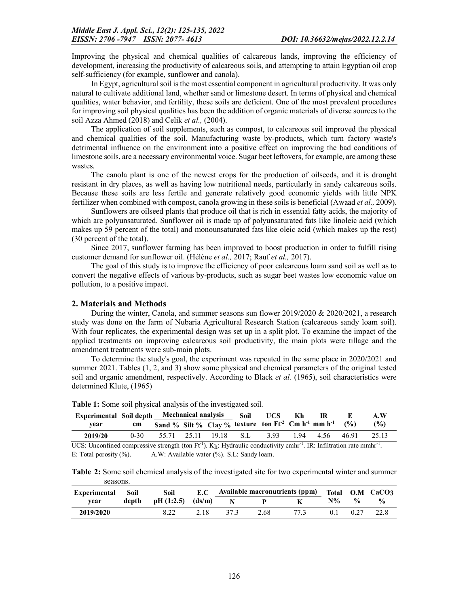Improving the physical and chemical qualities of calcareous lands, improving the efficiency of development, increasing the productivity of calcareous soils, and attempting to attain Egyptian oil crop self-sufficiency (for example, sunflower and canola).

In Egypt, agricultural soil is the most essential component in agricultural productivity. It was only natural to cultivate additional land, whether sand or limestone desert. In terms of physical and chemical qualities, water behavior, and fertility, these soils are deficient. One of the most prevalent procedures for improving soil physical qualities has been the addition of organic materials of diverse sources to the soil Azza Ahmed (2018) and Celik *et al.,* (2004).

The application of soil supplements, such as compost, to calcareous soil improved the physical and chemical qualities of the soil. Manufacturing waste by-products, which turn factory waste's detrimental influence on the environment into a positive effect on improving the bad conditions of limestone soils, are a necessary environmental voice. Sugar beet leftovers, for example, are among these wastes.

The canola plant is one of the newest crops for the production of oilseeds, and it is drought resistant in dry places, as well as having low nutritional needs, particularly in sandy calcareous soils. Because these soils are less fertile and generate relatively good economic yields with little NPK fertilizer when combined with compost, canola growing in these soils is beneficial (Awaad *et al.,* 2009).

Sunflowers are oilseed plants that produce oil that is rich in essential fatty acids, the majority of which are polyunsaturated. Sunflower oil is made up of polyunsaturated fats like linoleic acid (which makes up 59 percent of the total) and monounsaturated fats like oleic acid (which makes up the rest) (30 percent of the total).

Since 2017, sunflower farming has been improved to boost production in order to fulfill rising customer demand for sunflower oil. (Hélène *et al.,* 2017; Rauf *et al.,* 2017).

The goal of this study is to improve the efficiency of poor calcareous loam sand soil as well as to convert the negative effects of various by-products, such as sugar beet wastes low economic value on pollution, to a positive impact.

### 2. Materials and Methods

During the winter, Canola, and summer seasons sun flower  $2019/2020 \& 2020/2021$ , a research study was done on the farm of Nubaria Agricultural Research Station (calcareous sandy loam soil). With four replicates, the experimental design was set up in a split plot. To examine the impact of the applied treatments on improving calcareous soil productivity, the main plots were tillage and the amendment treatments were sub-main plots.

To determine the study's goal, the experiment was repeated in the same place in 2020/2021 and summer 2021. Tables (1, 2, and 3) show some physical and chemical parameters of the original tested soil and organic amendment, respectively. According to Black *et al.* (1965), soil characteristics were determined Klute, (1965)

| Experimental Soil depth Mechanical analysis Soil UCS Kh |               |                                                                     |  |  | -IR                   | A.W |
|---------------------------------------------------------|---------------|---------------------------------------------------------------------|--|--|-----------------------|-----|
| vear                                                    | <sub>cm</sub> | Sand % Silt % Clay % texture ton $Ft^2$ Cm $h^{-1}$ mm $h^{-1}$ (%) |  |  |                       | (%) |
| 2019/20                                                 | $0-30$        | 55.71 25.11 19.18 S.L 3.93                                          |  |  | 1.94 4.56 46.91 25.13 |     |

Table 1: Some soil physical analysis of the investigated soil.

UCS: Unconfined compressive strength (ton  $Ft^{-1}$ ).  $K_h$ : Hydraulic conductivity cmhr<sup>-1</sup>. IR: Infiltration rate mmhr<sup>-1</sup>. E: Total porosity  $(\% )$ . A.W: Available water  $(\% )$ . S.L: Sandy loam.

Table 2: Some soil chemical analysis of the investigated site for two experimental winter and summer seasons.

| Experimental | Soil  | Soil               | E.C  |             |      | Available macronutrients (ppm) Total O.M CaCO3 |    |               |                    |
|--------------|-------|--------------------|------|-------------|------|------------------------------------------------|----|---------------|--------------------|
| vear         | depth | $pH(1:2.5)$ (ds/m) |      | $\mathbf N$ |      |                                                | N% | $\frac{0}{0}$ | $\frac{0}{\alpha}$ |
| 2019/2020    |       |                    | 2.18 |             | 2.68 |                                                |    |               | 22.8               |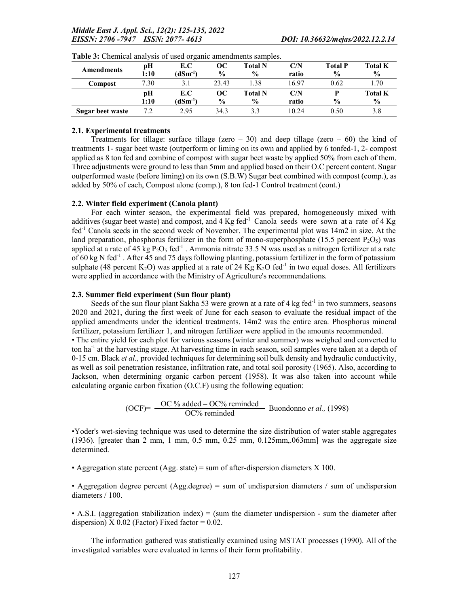| <b>Amendments</b> | pН<br>1:10 | E.C<br>(dSm <sup>-1</sup> ) | OС<br>$\frac{0}{0}$ | Total N<br>$\frac{0}{0}$ | $\mathbf{C/N}$<br>ratio | <b>Total P</b><br>$\frac{0}{0}$ | <b>Total K</b><br>$\frac{0}{0}$ |
|-------------------|------------|-----------------------------|---------------------|--------------------------|-------------------------|---------------------------------|---------------------------------|
| Compost           | 7.30       | 3.1                         | 23.43               | 1.38                     | 16.97                   | 0.62                            | 1.70                            |
|                   | pН         | E.C                         | OС                  | Total N                  | $\mathbf{C/N}$          |                                 | <b>Total K</b>                  |
|                   | 1:10       | $(dSm^{-1})$                | $\frac{0}{0}$       | $\frac{6}{9}$            | ratio                   | $\frac{0}{0}$                   | $\frac{6}{9}$                   |
| Sugar beet waste  | 7.2        | 2.95                        | 34.3                | 3.3                      | 10.24                   | 0.50                            | 3.8                             |

Table 3: Chemical analysis of used organic amendments samples.

#### 2.1. Experimental treatments

Treatments for tillage: surface tillage (zero – 30) and deep tillage (zero – 60) the kind of treatments 1- sugar beet waste (outperform or liming on its own and applied by 6 tonfed-1, 2- compost applied as 8 ton fed and combine of compost with sugar beet waste by applied 50% from each of them. Three adjustments were ground to less than 5mm and applied based on their O.C percent content. Sugar outperformed waste (before liming) on its own (S.B.W) Sugar beet combined with compost (comp.), as added by 50% of each, Compost alone (comp.), 8 ton fed-1 Control treatment (cont.)

#### 2.2. Winter field experiment (Canola plant)

For each winter season, the experimental field was prepared, homogeneously mixed with additives (sugar beet waste) and compost, and  $4$  Kg fed<sup>-1</sup> Canola seeds were sown at a rate of  $4$  Kg fed-1 Canola seeds in the second week of November. The experimental plot was 14m2 in size. At the land preparation, phosphorus fertilizer in the form of mono-superphosphate (15.5 percent  $P_2O_5$ ) was applied at a rate of 45 kg  $P_2O_5$  fed<sup>-1</sup>. Ammonia nitrate 33.5 N was used as a nitrogen fertilizer at a rate of 60 kg N fed<sup>-1</sup>. After 45 and 75 days following planting, potassium fertilizer in the form of potassium sulphate (48 percent K<sub>2</sub>O) was applied at a rate of 24 Kg K<sub>2</sub>O fed<sup>-1</sup> in two equal doses. All fertilizers were applied in accordance with the Ministry of Agriculture's recommendations.

## 2.3. Summer field experiment (Sun flour plant)

Seeds of the sun flour plant Sakha 53 were grown at a rate of 4 kg fed $^{-1}$  in two summers, seasons 2020 and 2021, during the first week of June for each season to evaluate the residual impact of the applied amendments under the identical treatments. 14m2 was the entire area. Phosphorus mineral fertilizer, potassium fertilizer 1, and nitrogen fertilizer were applied in the amounts recommended.

• The entire yield for each plot for various seasons (winter and summer) was weighed and converted to ton ha<sup>-1</sup> at the harvesting stage. At harvesting time in each season, soil samples were taken at a depth of 0-15 cm. Black *et al.,* provided techniques for determining soil bulk density and hydraulic conductivity, as well as soil penetration resistance, infiltration rate, and total soil porosity (1965). Also, according to Jackson, when determining organic carbon percent (1958). It was also taken into account while calculating organic carbon fixation (O.C.F) using the following equation:

(OCF)=  $\frac{OC\% \text{ added} - OC\% \text{ reminded}}{OC\% \text{ reminded}}$  Buondonno *et al.*, (1998)

•Yoder's wet-sieving technique was used to determine the size distribution of water stable aggregates  $(1936)$ . [greater than 2 mm, 1 mm, 0.5 mm, 0.25 mm, 0.125mm, 0.63mm] was the aggregate size determined.

• Aggregation state percent (Agg. state) = sum of after-dispersion diameters  $X$  100.

• Aggregation degree percent (Agg.degree) = sum of undispersion diameters  $\ell$  sum of undispersion diameters / 100.

• A.S.I. (aggregation stabilization index)  $=$  (sum the diameter undispersion - sum the diameter after dispersion)  $X$  0.02 (Factor) Fixed factor = 0.02.

The information gathered was statistically examined using MSTAT processes (1990). All of the investigated variables were evaluated in terms of their form profitability.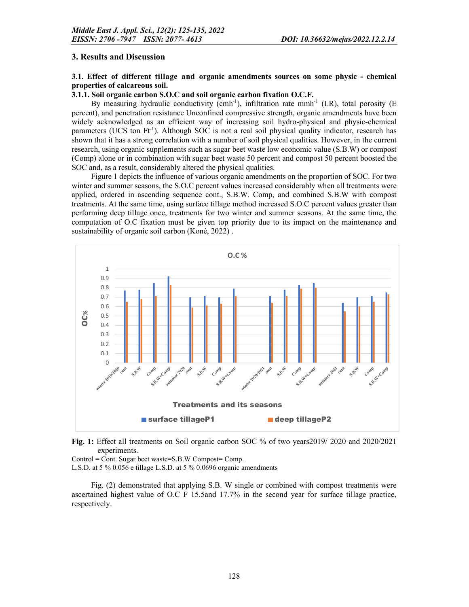#### 3. Results and Discussion

#### 3.1. Effect of different tillage and organic amendments sources on some physic - chemical properties of calcareous soil.

#### 3.1.1. Soil organic carbon S.O.C and soil organic carbon fixation O.C.F.

By measuring hydraulic conductivity (cmh<sup>-1</sup>), infiltration rate mmh<sup>-1</sup> (I.R), total porosity (E percent), and penetration resistance Unconfined compressive strength, organic amendments have been widely acknowledged as an efficient way of increasing soil hydro-physical and physic-chemical parameters (UCS ton Ft<sup>-1</sup>). Although SOC is not a real soil physical quality indicator, research has shown that it has a strong correlation with a number of soil physical qualities. However, in the current research, using organic supplements such as sugar beet waste low economic value (S.B.W) or compost (Comp) alone or in combination with sugar beet waste 50 percent and compost 50 percent boosted the SOC and, as a result, considerably altered the physical qualities.

Figure 1 depicts the influence of various organic amendments on the proportion of SOC. For two winter and summer seasons, the S.O.C percent values increased considerably when all treatments were applied, ordered in ascending sequence cont., S.B.W. Comp, and combined S.B.W with compost treatments. At the same time, using surface tillage method increased S.O.C percent values greater than performing deep tillage once, treatments for two winter and summer seasons. At the same time, the computation of O.C fixation must be given top priority due to its impact on the maintenance and sustainability of organic soil carbon (Koné, 2022) .



Fig. 1: Effect all treatments on Soil organic carbon SOC % of two years2019/ 2020 and 2020/2021 experiments.

Control = Cont. Sugar beet waste=S.B.W Compost= Comp.

L.S.D. at 5 % 0.056 e tillage L.S.D. at 5 % 0.0696 organic amendments

Fig. (2) demonstrated that applying S.B. W single or combined with compost treatments were ascertained highest value of O.C F 15.5and 17.7% in the second year for surface tillage practice, respectively.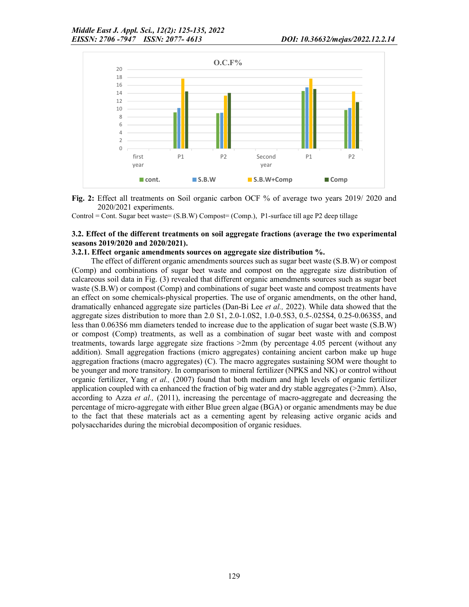

Fig. 2: Effect all treatments on Soil organic carbon OCF % of average two years 2019/ 2020 and 2020/2021 experiments.

Control = Cont. Sugar beet waste= (S.B.W) Compost= (Comp.), P1-surface till age P2 deep tillage

#### 3.2. Effect of the different treatments on soil aggregate fractions (average the two experimental seasons 2019/2020 and 2020/2021).

#### 3.2.1. Effect organic amendments sources on aggregate size distribution %.

The effect of different organic amendments sources such as sugar beet waste (S.B.W) or compost (Comp) and combinations of sugar beet waste and compost on the aggregate size distribution of calcareous soil data in Fig. (3) revealed that different organic amendments sources such as sugar beet waste (S.B.W) or compost (Comp) and combinations of sugar beet waste and compost treatments have an effect on some chemicals-physical properties. The use of organic amendments, on the other hand, dramatically enhanced aggregate size particles (Dan-Bi Lee *et al.,* 2022). While data showed that the aggregate sizes distribution to more than 2.0 S1, 2.0-1.0S2, 1.0-0.5S3, 0.5-.025S4, 0.25-0.063S5, and less than 0.063S6 mm diameters tended to increase due to the application of sugar beet waste (S.B.W) or compost (Comp) treatments, as well as a combination of sugar beet waste with and compost treatments, towards large aggregate size fractions >2mm (by percentage 4.05 percent (without any addition). Small aggregation fractions (micro aggregates) containing ancient carbon make up huge aggregation fractions (macro aggregates) (C). The macro aggregates sustaining SOM were thought to be younger and more transitory. In comparison to mineral fertilizer (NPKS and NK) or control without organic fertilizer, Yang *et al.,* (2007) found that both medium and high levels of organic fertilizer application coupled with ca enhanced the fraction of big water and dry stable aggregates ( $>2mm$ ). Also, according to Azza *et al.,* (2011), increasing the percentage of macro-aggregate and decreasing the percentage of micro-aggregate with either Blue green algae (BGA) or organic amendments may be due to the fact that these materials act as a cementing agent by releasing active organic acids and polysaccharides during the microbial decomposition of organic residues.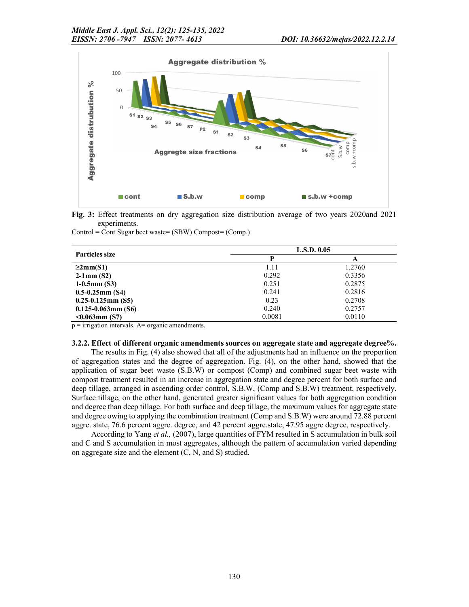

Fig. 3: Effect treatments on dry aggregation size distribution average of two years 2020and 2021 experiments.

Control = Cont Sugar beet waste= (SBW) Compost= (Comp.)

| <b>Particles size</b>     | L.S.D. 0.05 |        |  |  |  |
|---------------------------|-------------|--------|--|--|--|
|                           | D           | A      |  |  |  |
| $\geq 2mm(S1)$            | 1.11        | 1.2760 |  |  |  |
| $2-1$ mm (S2)             | 0.292       | 0.3356 |  |  |  |
| $1-0.5$ mm $(S3)$         | 0.251       | 0.2875 |  |  |  |
| $0.5 - 0.25$ mm $(S4)$    | 0.241       | 0.2816 |  |  |  |
| $0.25 - 0.125$ mm $(S5)$  | 0.23        | 0.2708 |  |  |  |
| $0.125 - 0.063$ mm $(S6)$ | 0.240       | 0.2757 |  |  |  |
| $< 0.063$ mm (S7)         | 0.0081      | 0.0110 |  |  |  |

 $p =$  irrigation intervals. A= organic amendments.

#### 3.2.2. Effect of different organic amendments sources on aggregate state and aggregate degree%.

The results in Fig. (4) also showed that all of the adjustments had an influence on the proportion of aggregation states and the degree of aggregation. Fig. (4), on the other hand, showed that the application of sugar beet waste (S.B.W) or compost (Comp) and combined sugar beet waste with compost treatment resulted in an increase in aggregation state and degree percent for both surface and deep tillage, arranged in ascending order control, S.B.W, (Comp and S.B.W) treatment, respectively. Surface tillage, on the other hand, generated greater significant values for both aggregation condition and degree than deep tillage. For both surface and deep tillage, the maximum values for aggregate state and degree owing to applying the combination treatment (Comp and S.B.W) were around 72.88 percent aggre. state, 76.6 percent aggre. degree, and 42 percent aggre.state, 47.95 aggre degree, respectively.

According to Yang *et al.,* (2007), large quantities of FYM resulted in S accumulation in bulk soil and C and S accumulation in most aggregates, although the pattern of accumulation varied depending on aggregate size and the element (C, N, and S) studied.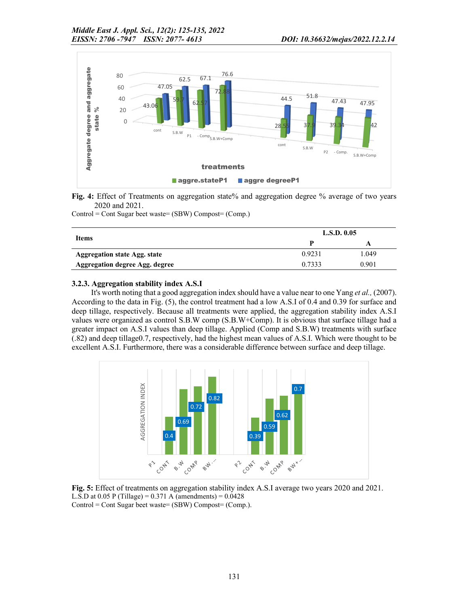

Fig. 4: Effect of Treatments on aggregation state% and aggregation degree % average of two years 2020 and 2021.

Control = Cont Sugar beet waste= (SBW) Compost= (Comp.)

|                                     | L.S.D. 0.05 |       |
|-------------------------------------|-------------|-------|
| Items                               |             | A     |
| <b>Aggregation state Agg. state</b> | 0.9231      | 1.049 |
| Aggregation degree Agg. degree      | 0.7333      | 0.901 |

#### 3.2.3. Aggregation stability index A.S.I

It's worth noting that a good aggregation index should have a value near to one Yang *et al.,* (2007). According to the data in Fig. (5), the control treatment had a low A.S.I of 0.4 and 0.39 for surface and deep tillage, respectively. Because all treatments were applied, the aggregation stability index A.S.I values were organized as control S.B.W comp (S.B.W+Comp). It is obvious that surface tillage had a greater impact on A.S.I values than deep tillage. Applied (Comp and S.B.W) treatments with surface (.82) and deep tillage0.7, respectively, had the highest mean values of A.S.I. Which were thought to be excellent A.S.I. Furthermore, there was a considerable difference between surface and deep tillage.



Fig. 5: Effect of treatments on aggregation stability index A.S.I average two years 2020 and 2021. L.S.D at  $0.05$  P (Tillage) =  $0.371$  A (amendments) =  $0.0428$ Control = Cont Sugar beet waste= (SBW) Compost= (Comp.).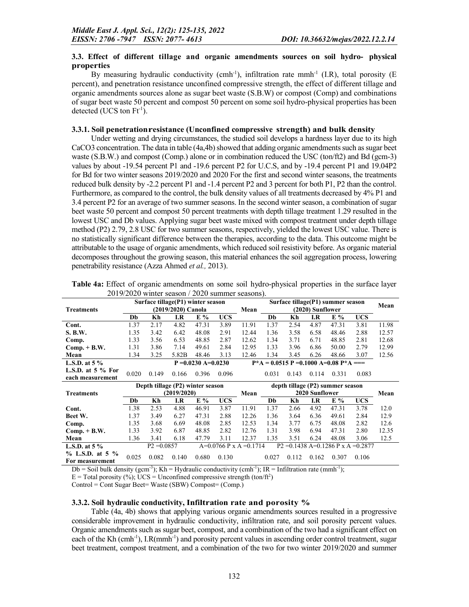#### 3.3. Effect of different tillage and organic amendments sources on soil hydro- physical properties

By measuring hydraulic conductivity (cmh<sup>-1</sup>), infiltration rate mmh<sup>-1</sup> (I.R), total porosity (E percent), and penetration resistance unconfined compressive strength, the effect of different tillage and organic amendments sources alone as sugar beet waste (S.B.W) or compost (Comp) and combinations of sugar beet waste 50 percent and compost 50 percent on some soil hydro-physical properties has been detected (UCS ton  $\mathrm{Ft}^{-1}$ ).

#### 3.3.1. Soil penetrationresistance (Unconfined compressive strength) and bulk density

Under wetting and drying circumstances, the studied soil develops a hardness layer due to its high CaCO3 concentration. The data in table (4a,4b) showed that adding organic amendments such as sugar beet waste (S.B.W.) and compost (Comp.) alone or in combination reduced the USC (ton/ft2) and Bd (gcm-3) values by about -19.54 percent P1 and -19.6 percent P2 for U.C.S, and by -19.4 percent P1 and 19.04P2 for Bd for two winter seasons 2019/2020 and 2020 For the first and second winter seasons, the treatments reduced bulk density by -2.2 percent P1 and -1.4 percent P2 and 3 percent for both P1, P2 than the control. Furthermore, as compared to the control, the bulk density values of all treatments decreased by 4% P1 and 3.4 percent P2 for an average of two summer seasons. In the second winter season, a combination of sugar beet waste 50 percent and compost 50 percent treatments with depth tillage treatment 1.29 resulted in the lowest USC and Db values. Applying sugar beet waste mixed with compost treatment under depth tillage method (P2) 2.79, 2.8 USC for two summer seasons, respectively, yielded the lowest USC value. There is no statistically significant difference between the therapies, according to the data. This outcome might be attributable to the usage of organic amendments, which reduced soil resistivity before. As organic material decomposes throughout the growing season, this material enhances the soil aggregation process, lowering penetrability resistance (Azza Ahmed *et al.,* 2013).

|                       |       |               | Surface tillage(P1) winter season |                       |            |                        |       |       |                  | Surface tillage(P1) summer season          |            | Mean  |
|-----------------------|-------|---------------|-----------------------------------|-----------------------|------------|------------------------|-------|-------|------------------|--------------------------------------------|------------|-------|
| <b>Treatments</b>     |       |               | (2019/2020) Canola                |                       |            | Mean                   |       |       | (2020) Sunflower |                                            |            |       |
|                       | Db    | Kh            | I.R                               | E %                   | <b>UCS</b> |                        | Db    | Kh    | I.R              | E%                                         | <b>UCS</b> |       |
| Cont.                 | 1.37  | 2.17          | 4.82                              | 47.31                 | 3.89       | 11.91                  | 1.37  | 2.54  | 4.87             | 47.31                                      | 3.81       | 11.98 |
| <b>S. B.W.</b>        | 1.35  | 3.42          | 6.42                              | 48.08                 | 2.91       | 12.44                  | 1.36  | 3.58  | 6.58             | 48.46                                      | 2.88       | 12.57 |
| Comp.                 | 1.33  | 3.56          | 6.53                              | 48.85                 | 2.87       | 12.62                  | 1.34  | 3.71  | 6.71             | 48.85                                      | 2.81       | 12.68 |
| $Comp. + B.W.$        | 1.31  | 3.86          | 7.14                              | 49.61                 | 2.84       | 12.95                  | 1.33  | 3.96  | 6.86             | 50.00                                      | 2.79       | 12.99 |
| Mean                  | 1.34  | 3.25          | 5.82B                             | 48.46                 | 3.13       | 12.46                  | 1.34  | 3.45  | 6.26             | 48.66                                      | 3.07       | 12.56 |
| L.S.D. at $5\%$       |       |               |                                   | $P = 0.0230$ A=0.0230 |            |                        |       |       |                  | $P^*A = 0.0515 P = 0.1000 A = 0.08 P^*A =$ |            |       |
| L.S.D. at $5%$ For    | 0.020 | 0.149         | 0.166                             | 0.396                 | 0.096      |                        | 0.031 | 0.143 | 0.114            | 0.331                                      | 0.083      |       |
| each measurement      |       |               |                                   |                       |            |                        |       |       |                  |                                            |            |       |
|                       |       |               |                                   |                       |            |                        |       |       |                  |                                            |            |       |
|                       |       |               | Depth tillage (P2) winter season  |                       |            |                        |       |       |                  | depth tillage (P2) summer season           |            |       |
| <b>Treatments</b>     |       |               | (2019/2020)                       |                       |            | Mean                   |       |       | 2020 Sunflower   |                                            |            | Mean  |
|                       | Db    | Kh            | I.R                               | E %                   | <b>UCS</b> |                        | Db    | Kh    | $_{\rm I.R}$     | $E\%$                                      | UCS        |       |
| Cont.                 | 1.38  | 2.53          | 4.88                              | 46.91                 | 3.87       | 11.91                  | 1.37  | 2.66  | 4.92             | 47.31                                      | 3.78       | 12.0  |
| Beet W.               | 1.37  | 3.49          | 6.27                              | 47.31                 | 2.88       | 12.26                  | 1.36  | 3.64  | 6.36             | 49.61                                      | 2.84       | 12.9  |
| Comp.                 | 1.35  | 3.68          | 6.69                              | 48.08                 | 2.85       | 12.53                  | 1.34  | 3.77  | 6.75             | 48.08                                      | 2.82       | 12.6  |
| $Comp. + B.W.$        | 1.33  | 3.92          | 6.87                              | 48.85                 | 2.82       | 12.76                  | 1.31  | 3.98  | 6.94             | 47.31                                      | 2.80       | 12.35 |
| Mean                  | 1.36  | 3.41          | 6.18                              | 47.79                 | 3.11       | 12.37                  | 1.35  | 3.51  | 6.24             | 48.08                                      | 3.06       | 12.5  |
| L.S.D. at $5\%$       |       | $P2 = 0.0857$ |                                   |                       |            | A=0.0766 P x A =0.1714 |       |       |                  | $P2 = 0.1438$ A=0.1286 P x A =0.2877       |            |       |
| $\%$ L.S.D. at 5 $\%$ | 0.025 | 0.082         | 0.140                             | 0.680                 | 0.130      |                        | 0.027 | 0.112 | 0.162            | 0.307                                      | 0.106      |       |

Table 4a: Effect of organic amendments on some soil hydro-physical properties in the surface layer 2019/2020 winter season / 2020 summer seasons).

Db = Soil bulk density (gcm<sup>-3</sup>); Kh = Hydraulic conductivity (cmh<sup>-1</sup>); IR = Infiltration rate (mmh<sup>-1</sup>);

 $E = \text{Total porosity } (\%)$ ; UCS = Unconfined compressive strength (ton/ft<sup>2</sup>)

Control = Cont Sugar Beet= Waste (SBW) Compost= (Comp.)

#### 3.3.2. Soil hydraulic conductivity, Infiltration rate and porosity %

Table (4a, 4b) shows that applying various organic amendments sources resulted in a progressive considerable improvement in hydraulic conductivity, infiltration rate, and soil porosity percent values. Organic amendments such as sugar beet, compost, and a combination of the two had a significant effect on each of the Kh (cmh<sup>-1</sup>), I.R(mmh<sup>-1</sup>) and porosity percent values in ascending order control treatment, sugar beet treatment, compost treatment, and a combination of the two for two winter 2019/2020 and summer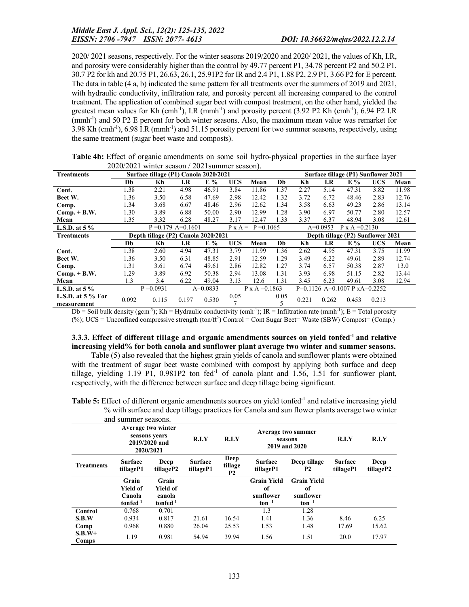2020/ 2021 seasons, respectively. For the winter seasons 2019/2020 and 2020/ 2021, the values of Kh, I.R, and porosity were considerably higher than the control by 49.77 percent P1, 34.78 percent P2 and 50.2 P1, 30.7 P2 for kh and 20.75 P1, 26.63, 26.1, 25.91P2 for IR and 2.4 P1, 1.88 P2, 2.9 P1, 3.66 P2 for E percent. The data in table (4 a, b) indicated the same pattern for all treatments over the summers of 2019 and 2021, with hydraulic conductivity, infiltration rate, and porosity percent all increasing compared to the control treatment. The application of combined sugar beet with compost treatment, on the other hand, yielded the greatest mean values for Kh (cmh<sup>-1</sup>), I.R (mmh<sup>-1</sup>) and porosity percent (3.92 P2 Kh (cmh<sup>-1</sup>), 6.94 P2 I.R (mmh<sup>-1</sup>) and 50 P2 E percent for both winter seasons. Also, the maximum mean value was remarket for 3.98 Kh (cmh-1 ), 6.98 I.R (mmh-1 ) and 51.15 porosity percent for two summer seasons, respectively, using the same treatment (sugar beet waste and composts).

|                                   | $2020/2021$ whitel season / 2021 summer season). |                                       |                      |            |                |                       |      |                                 |            |                                     |            |       |
|-----------------------------------|--------------------------------------------------|---------------------------------------|----------------------|------------|----------------|-----------------------|------|---------------------------------|------------|-------------------------------------|------------|-------|
| <b>Treatments</b>                 |                                                  | Surface tillage (P1) Canola 2020/2021 |                      |            |                |                       |      |                                 |            | Surface tillage (P1) Sunflower 2021 |            |       |
|                                   | Db                                               | Kh                                    | I.R                  | $E\%$      | <b>UCS</b>     | Mean                  | Db   | Kh                              | I.R        | $E\%$                               | <b>UCS</b> | Mean  |
| Cont.                             | 1.38                                             | 2.21                                  | 4.98                 | 46.91      | 3.84           | 11.86                 | 1.37 | 2.27                            | 5.14       | 47.31                               | 3.82       | 11.98 |
| Beet W.                           | 1.36                                             | 3.50                                  | 6.58                 | 47.69      | 2.98           | 12.42                 | 1.32 | 3.72                            | 6.72       | 48.46                               | 2.83       | 12.76 |
| Comp.                             | 1.34                                             | 3.68                                  | 6.67                 | 48.46      | 2.96           | 12.62                 | 1.34 | 3.58                            | 6.63       | 49.23                               | 2.86       | 13.14 |
| $Comp. + B.W.$                    | 1.30                                             | 3.89                                  | 6.88                 | 50.00      | 2.90           | 12.99                 | 1.28 | 3.90                            | 6.97       | 50.77                               | 2.80       | 12.57 |
| Mean                              | 1.35                                             | 3.32                                  | 6.28                 | 48.27      | 3.17           | 12.47                 | 1.33 | 3.37                            | 6.37       | 48.94                               | 3.08       | 12.61 |
| L.S.D. at $5\%$                   |                                                  |                                       | $P = 0.179$ A=0.1601 |            | $P \times A =$ | $P = 0.1065$          |      |                                 | $A=0.0953$ | $P \times A = 0.2130$               |            |       |
| <b>Treatments</b>                 |                                                  | Depth tillage (P2) Canola 2020/2021   |                      |            |                |                       |      |                                 |            | Depth tillage (P2) Sunflower 2021   |            |       |
|                                   | Db                                               | Kh                                    | $_{I.R}$             | $E\%$      | <b>UCS</b>     | Mean                  | Db   | Kh                              | I.R        | $E\%$                               | <b>UCS</b> | Mean  |
| Cont.                             | 1.38                                             | 2.60                                  | 4.94                 | 47.31      | 3.79           | 11.99                 | 1.36 | 2.62                            | 4.95       | 47.31                               | 3.75       | 11.99 |
| Beet W.                           | 1.36                                             | 3.50                                  | 6.31                 | 48.85      | 2.91           | 12.59                 | 1.29 | 3.49                            | 6.22       | 49.61                               | 2.89       | 12.74 |
| Comp.                             | 1.31                                             | 3.61                                  | 6.74                 | 49.61      | 2.86           | 12.82                 | 1.27 | 3.74                            | 6.57       | 50.38                               | 2.87       | 13.0  |
| $Comp. + B.W.$                    | 1.29                                             | 3.89                                  | 6.92                 | 50.38      | 2.94           | 13.08                 | 1.31 | 3.93                            | 6.98       | 51.15                               | 2.82       | 13.44 |
| Mean                              | 1.3                                              | 3.4                                   | 6.22                 | 49.04      | 3.13           | 12.6                  | 1.31 | 3.45                            | 6.23       | 49.61                               | 3.08       | 12.94 |
| L.S.D. at $5\%$                   |                                                  | $P = 0.0931$                          |                      | $A=0.0833$ |                | $P \times A = 0.1863$ |      | $P=0.1126$ A=0.1007 P xA=0.2252 |            |                                     |            |       |
| L.S.D. at $5%$ For<br>measurement | 0.092                                            | 0.115                                 | 0.197                | 0.530      | 0.05           |                       | 0.05 | 0.221                           | 0.262      | 0.453                               | 0.213      |       |

| Table 4b: Effect of organic amendments on some soil hydro-physical properties in the surface layer |  |
|----------------------------------------------------------------------------------------------------|--|
| $2020/2021$ winter season / 2021 summer season).                                                   |  |

Db = Soil bulk density (gcm<sup>-3</sup>); Kh = Hydraulic conductivity (cmh<sup>-1</sup>); IR = Infiltration rate (mmh<sup>-1</sup>); E = Total porosity  $(\%)$ ; UCS = Unconfined compressive strength  $(ton/ft^2)$  Control = Cont Sugar Beet= Waste (SBW) Compost= (Comp.)

## 3.3.3. Effect of different tillage and organic amendments sources on yield tonfed<sup>-1</sup> and relative increasing yield% for both canola and sunflower plant average two winter and summer seasons.

Table (5) also revealed that the highest grain yields of canola and sunflower plants were obtained with the treatment of sugar beet waste combined with compost by applying both surface and deep tillage, yielding 1.19 P1,  $0.981P2$  ton fed<sup>-1</sup> of canola plant and 1.56, 1.51 for sunflower plant, respectively, with the difference between surface and deep tillage being significant.

Table 5: Effect of different organic amendments sources on yield tonfed<sup>-1</sup> and relative increasing yield % with surface and deep tillage practices for Canola and sun flower plants average two winter

|                   | and summer seasons.                                                        |                   |                             |                              |                             |                                                |                             |                   |
|-------------------|----------------------------------------------------------------------------|-------------------|-----------------------------|------------------------------|-----------------------------|------------------------------------------------|-----------------------------|-------------------|
|                   | Average two winter<br>seasons years<br>R.I.Y<br>2019/2020 and<br>2020/2021 |                   |                             | R.I.Y                        |                             | Average two summer<br>seasons<br>2019 and 2020 | R.I.Y                       | R.I.Y             |
| <b>Treatments</b> | <b>Surface</b><br>tillageP1                                                | Deep<br>tillageP2 | <b>Surface</b><br>tillageP1 | Deep<br>tillage<br><b>P2</b> | <b>Surface</b><br>tillageP1 | Deep tillage<br><b>P2</b>                      | <b>Surface</b><br>tillageP1 | Deep<br>tillageP2 |
|                   | Grain                                                                      | Grain             |                             |                              | <b>Grain Yield</b>          | <b>Grain Yield</b>                             |                             |                   |
|                   | <b>Yield of</b>                                                            | <b>Yield of</b>   |                             |                              | of                          | of                                             |                             |                   |
|                   | Canola                                                                     | canola            |                             |                              | sunflower                   | sunflower                                      |                             |                   |
|                   | $tonfed^{-1}$                                                              | $tonfed^{-1}$     |                             |                              | ton $-1$                    | ton $-1$                                       |                             |                   |
| Control           | 0.768                                                                      | 0.701             |                             |                              | 1.3                         | 1.28                                           |                             |                   |
| S.B.W             | 0.934                                                                      | 0.817             | 21.61                       | 16.54                        | 1.41                        | 1.36                                           | 8.46                        | 6.25              |
| Comp              | 0.968                                                                      | 0.880             | 26.04                       | 25.53                        | 1.53                        | 1.48                                           | 17.69                       | 15.62             |
| $S.B.W+$<br>Comps | 1.19                                                                       | 0.981             | 54.94                       | 39.94                        | 1.56                        | 1.51                                           | 20.0                        | 17.97             |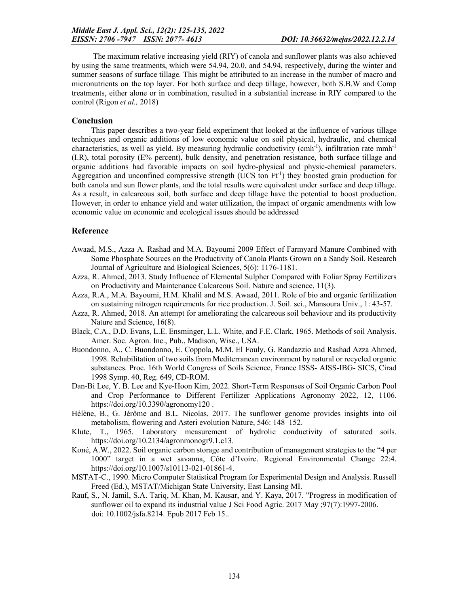The maximum relative increasing yield (RIY) of canola and sunflower plants was also achieved by using the same treatments, which were 54.94, 20.0, and 54.94, respectively, during the winter and summer seasons of surface tillage. This might be attributed to an increase in the number of macro and micronutrients on the top layer. For both surface and deep tillage, however, both S.B.W and Comp treatments, either alone or in combination, resulted in a substantial increase in RIY compared to the control (Rigon *et al.,* 2018)

## Conclusion

This paper describes a two-year field experiment that looked at the influence of various tillage techniques and organic additions of low economic value on soil physical, hydraulic, and chemical characteristics, as well as yield. By measuring hydraulic conductivity (cmh<sup>-1</sup>), infiltration rate mmh<sup>-1</sup> (I.R), total porosity (E% percent), bulk density, and penetration resistance, both surface tillage and organic additions had favorable impacts on soil hydro-physical and physic-chemical parameters. Aggregation and unconfined compressive strength (UCS ton  $Ft^{-1}$ ) they boosted grain production for both canola and sun flower plants, and the total results were equivalent under surface and deep tillage. As a result, in calcareous soil, both surface and deep tillage have the potential to boost production. However, in order to enhance yield and water utilization, the impact of organic amendments with low economic value on economic and ecological issues should be addressed

## Reference

- Awaad, M.S., Azza A. Rashad and M.A. Bayoumi 2009 Effect of Farmyard Manure Combined with Some Phosphate Sources on the Productivity of Canola Plants Grown on a Sandy Soil. Research Journal of Agriculture and Biological Sciences, 5(6): 1176-1181.
- Azza, R. Ahmed, 2013. Study Influence of Elemental Sulpher Compared with Foliar Spray Fertilizers on Productivity and Maintenance Calcareous Soil. Nature and science, 11(3).
- Azza, R.A., M.A. Bayoumi, H.M. Khalil and M.S. Awaad, 2011. Role of bio and organic fertilization on sustaining nitrogen requirements for rice production. J. Soil. sci., Mansoura Univ., 1: 43-57.
- Azza, R. Ahmed, 2018. An attempt for ameliorating the calcareous soil behaviour and its productivity Nature and Science, 16(8).
- Black, C.A., D.D. Evans, L.E. Ensminger, L.L. White, and F.E. Clark, 1965. Methods of soil Analysis. Amer. Soc. Agron. Inc., Pub., Madison, Wisc., USA.
- Buondonno, A., C. Buondonno, E. Coppola, M.M. El Fouly, G. Randazzio and Rashad Azza Ahmed, 1998. Rehabilitation of two soils from Mediterranean environment by natural or recycled organic substances. Proc. 16th World Congress of Soils Science, France ISSS- AISS-IBG- SICS, Cirad 1998 Symp. 40, Reg. 649, CD-ROM.
- Dan-Bi Lee, Y. B. Lee and Kye-Hoon Kim, 2022. Short-Term Responses of Soil Organic Carbon Pool and Crop Performance to Different Fertilizer Applications Agronomy 2022, 12, 1106. https://doi.org/10.3390/agronomy120 .
- Hélène, B., G. Jérôme and B.L. Nicolas, 2017. The sunflower genome provides insights into oil metabolism, flowering and Asteri evolution Nature, 546: 148–152.
- Klute, T., 1965. Laboratory measurement of hydrolic conductivity of saturated soils. https://doi.org/10.2134/agronmonogr9.1.c13.
- Koné, A.W., 2022. Soil organic carbon storage and contribution of management strategies to the "4 per 1000" target in a wet savanna, Côte d'Ivoire. Regional Environmental Change 22:4. https://doi.org/10.1007/s10113-021-01861-4.
- MSTAT-C., 1990. Micro Computer Statistical Program for Experimental Design and Analysis. Russell Freed (Ed.), MSTAT/Michigan State University, East Lansing MI.
- Rauf, S., N. Jamil, S.A. Tariq, M. Khan, M. Kausar, and Y. Kaya, 2017. "Progress in modification of sunflower oil to expand its industrial value J Sci Food Agric. 2017 May ;97(7):1997-2006. doi: 10.1002/jsfa.8214. Epub 2017 Feb 15..